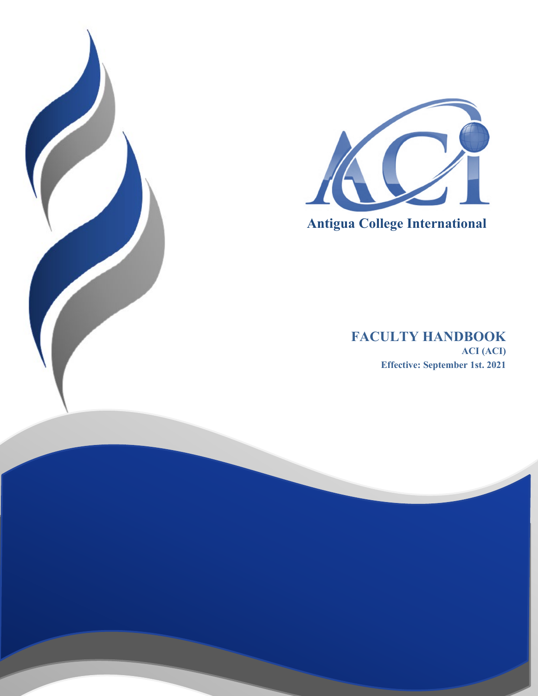



 **Antigua College International**

# **FACULTY HANDBOOK ACI (ACI) Effective: September 1st. 2021**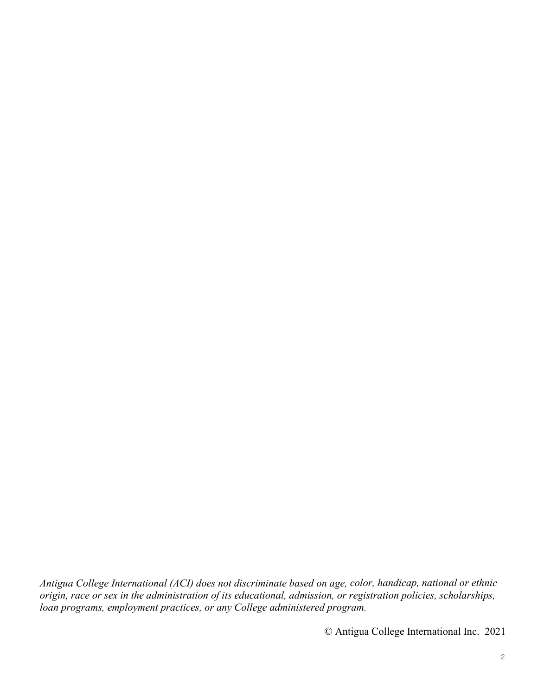*Antigua College International (ACI) does not discriminate based on age, color, handicap, national or ethnic origin, race or sex in the administration of its educational, admission, or registration policies, scholarships, loan programs, employment practices, or any College administered program.*

© Antigua College International Inc. 2021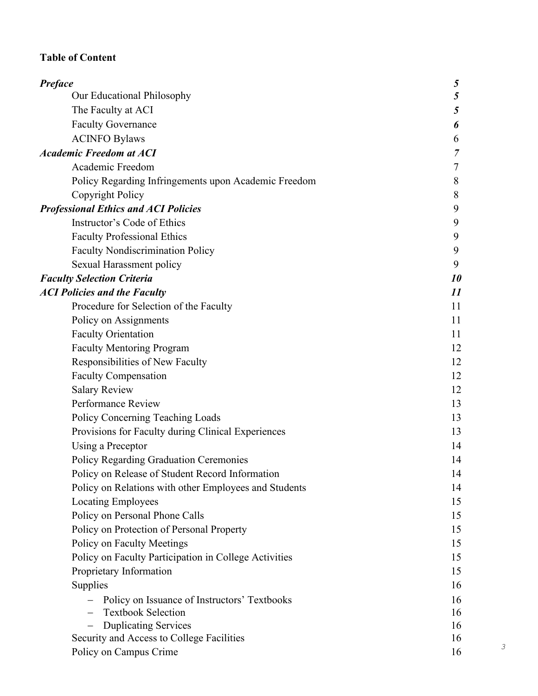# **Table of Content**

| Preface                                               | 5  |
|-------------------------------------------------------|----|
| Our Educational Philosophy                            | 5  |
| The Faculty at ACI                                    | 5  |
| <b>Faculty Governance</b>                             | 6  |
| <b>ACINFO Bylaws</b>                                  | 6  |
| <b>Academic Freedom at ACI</b>                        | 7  |
| Academic Freedom                                      | 7  |
| Policy Regarding Infringements upon Academic Freedom  | 8  |
| Copyright Policy                                      | 8  |
| <b>Professional Ethics and ACI Policies</b>           | 9  |
| Instructor's Code of Ethics                           | 9  |
| <b>Faculty Professional Ethics</b>                    | 9  |
| <b>Faculty Nondiscrimination Policy</b>               | 9  |
| Sexual Harassment policy                              | 9  |
| <b>Faculty Selection Criteria</b>                     | 10 |
| <b>ACI Policies and the Faculty</b>                   | 11 |
| Procedure for Selection of the Faculty                | 11 |
| Policy on Assignments                                 | 11 |
| <b>Faculty Orientation</b>                            | 11 |
| <b>Faculty Mentoring Program</b>                      | 12 |
| Responsibilities of New Faculty                       | 12 |
| <b>Faculty Compensation</b>                           | 12 |
| <b>Salary Review</b>                                  | 12 |
| Performance Review                                    | 13 |
| Policy Concerning Teaching Loads                      | 13 |
| Provisions for Faculty during Clinical Experiences    | 13 |
| Using a Preceptor                                     | 14 |
| Policy Regarding Graduation Ceremonies                | 14 |
| Policy on Release of Student Record Information       | 14 |
| Policy on Relations with other Employees and Students | 14 |
| <b>Locating Employees</b>                             | 15 |
| Policy on Personal Phone Calls                        | 15 |
| Policy on Protection of Personal Property             | 15 |
| Policy on Faculty Meetings                            | 15 |
| Policy on Faculty Participation in College Activities | 15 |
| Proprietary Information                               | 15 |
| Supplies                                              | 16 |
| Policy on Issuance of Instructors' Textbooks          | 16 |
| <b>Textbook Selection</b>                             | 16 |
| <b>Duplicating Services</b><br>$\qquad \qquad -$      | 16 |
| Security and Access to College Facilities             | 16 |
| Policy on Campus Crime                                | 16 |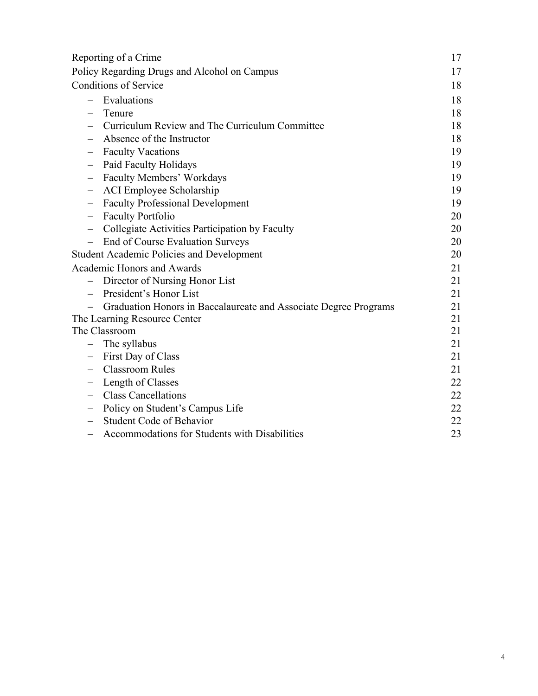| Reporting of a Crime                                                | 17 |
|---------------------------------------------------------------------|----|
| Policy Regarding Drugs and Alcohol on Campus                        | 17 |
| <b>Conditions of Service</b>                                        | 18 |
| Evaluations<br>$\overline{\phantom{0}}$                             | 18 |
| Tenure                                                              | 18 |
| Curriculum Review and The Curriculum Committee                      | 18 |
| Absence of the Instructor                                           | 18 |
| <b>Faculty Vacations</b>                                            | 19 |
| Paid Faculty Holidays                                               | 19 |
| Faculty Members' Workdays<br>$\qquad \qquad -$                      | 19 |
| <b>ACI</b> Employee Scholarship                                     | 19 |
| <b>Faculty Professional Development</b><br>—                        | 19 |
| <b>Faculty Portfolio</b>                                            | 20 |
| Collegiate Activities Participation by Faculty<br>$\qquad \qquad -$ | 20 |
| End of Course Evaluation Surveys                                    | 20 |
| <b>Student Academic Policies and Development</b>                    | 20 |
| <b>Academic Honors and Awards</b>                                   | 21 |
| Director of Nursing Honor List<br>$\qquad \qquad -$                 | 21 |
| President's Honor List                                              | 21 |
| Graduation Honors in Baccalaureate and Associate Degree Programs    | 21 |
| The Learning Resource Center                                        | 21 |
| The Classroom                                                       | 21 |
| The syllabus<br>$\qquad \qquad -$                                   | 21 |
| First Day of Class                                                  | 21 |
| <b>Classroom Rules</b>                                              | 21 |
| Length of Classes                                                   | 22 |
| <b>Class Cancellations</b>                                          | 22 |
| Policy on Student's Campus Life                                     | 22 |
| <b>Student Code of Behavior</b>                                     | 22 |
| Accommodations for Students with Disabilities<br>—                  | 23 |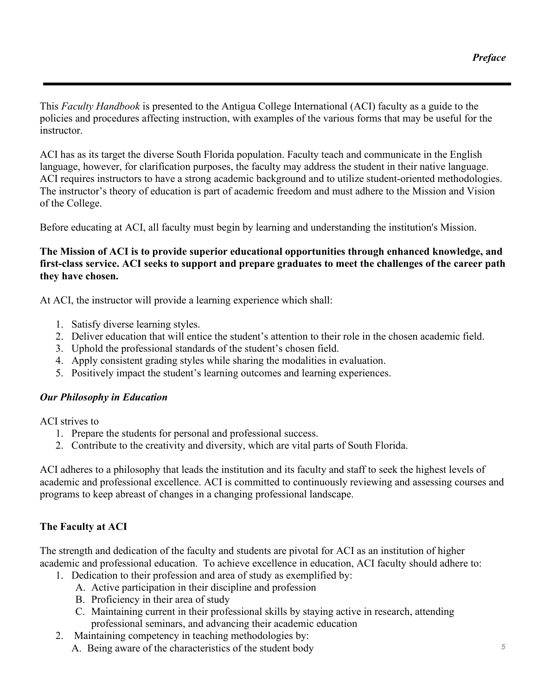This *Faculty Handbook* is presented to the Antigua College International (ACI) faculty as a guide to the policies and procedures affecting instruction, with examples of the various forms that may be useful for the instructor.

ACI has as its target the diverse South Florida population. Faculty teach and communicate in the English language, however, for clarification purposes, the faculty may address the student in their native language. ACI requires instructors to have a strong academic background and to utilize student-oriented methodologies. The instructor's theory of education is part of academic freedom and must adhere to the Mission and Vision of the College.

Before educating at ACI, all faculty must begin by learning and understanding the institution's Mission.

### **The Mission of ACI is to provide superior educational opportunities through enhanced knowledge, and first-class service. ACI seeks to support and prepare graduates to meet the challenges of the career path they have chosen.**

At ACI, the instructor will provide a learning experience which shall:

- 1. Satisfy diverse learning styles.
- 2. Deliver education that will entice the student's attention to their role in the chosen academic field.
- 3. Uphold the professional standards of the student's chosen field.
- 4. Apply consistent grading styles while sharing the modalities in evaluation.
- 5. Positively impact the student's learning outcomes and learning experiences.

## *Our Philosophy in Education*

ACI strives to

- 1. Prepare the students for personal and professional success.
- 2. Contribute to the creativity and diversity, which are vital parts of South Florida.

ACI adheres to a philosophy that leads the institution and its faculty and staff to seek the highest levels of academic and professional excellence. ACI is committed to continuously reviewing and assessing courses and programs to keep abreast of changes in a changing professional landscape.

# **The Faculty at ACI**

The strength and dedication of the faculty and students are pivotal for ACI as an institution of higher academic and professional education. To achieve excellence in education, ACI faculty should adhere to:

- 1. Dedication to their profession and area of study as exemplified by:
	- A. Active participation in their discipline and profession
	- B. Proficiency in their area of study
	- C. Maintaining current in their professional skills by staying active in research, attending professional seminars, and advancing their academic education
- 2. Maintaining competency in teaching methodologies by:
	- A. Being aware of the characteristics of the student body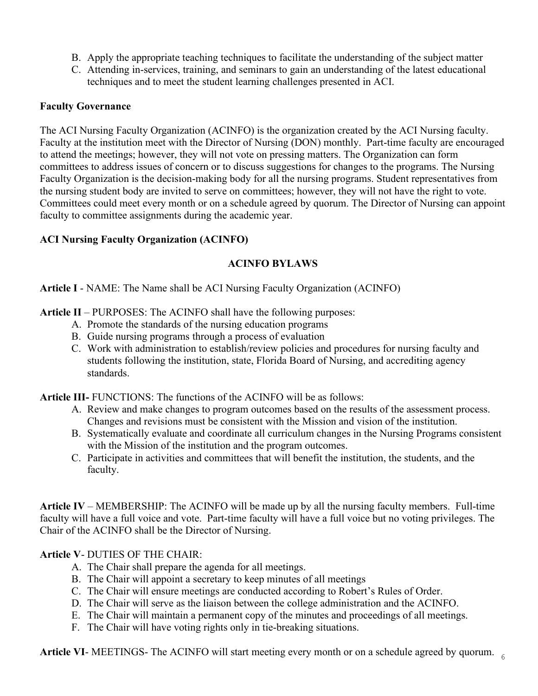- B. Apply the appropriate teaching techniques to facilitate the understanding of the subject matter
- C. Attending in-services, training, and seminars to gain an understanding of the latest educational techniques and to meet the student learning challenges presented in ACI.

#### **Faculty Governance**

The ACI Nursing Faculty Organization (ACINFO) is the organization created by the ACI Nursing faculty. Faculty at the institution meet with the Director of Nursing (DON) monthly. Part-time faculty are encouraged to attend the meetings; however, they will not vote on pressing matters. The Organization can form committees to address issues of concern or to discuss suggestions for changes to the programs. The Nursing Faculty Organization is the decision-making body for all the nursing programs. Student representatives from the nursing student body are invited to serve on committees; however, they will not have the right to vote. Committees could meet every month or on a schedule agreed by quorum. The Director of Nursing can appoint faculty to committee assignments during the academic year.

### **ACI Nursing Faculty Organization (ACINFO)**

## **ACINFO BYLAWS**

**Article I** - NAME: The Name shall be ACI Nursing Faculty Organization (ACINFO)

**Article II** – PURPOSES: The ACINFO shall have the following purposes:

- A. Promote the standards of the nursing education programs
- B. Guide nursing programs through a process of evaluation
- C. Work with administration to establish/review policies and procedures for nursing faculty and students following the institution, state, Florida Board of Nursing, and accrediting agency standards.

**Article III-** FUNCTIONS: The functions of the ACINFO will be as follows:

- A. Review and make changes to program outcomes based on the results of the assessment process. Changes and revisions must be consistent with the Mission and vision of the institution.
- B. Systematically evaluate and coordinate all curriculum changes in the Nursing Programs consistent with the Mission of the institution and the program outcomes.
- C. Participate in activities and committees that will benefit the institution, the students, and the faculty.

**Article IV** – MEMBERSHIP: The ACINFO will be made up by all the nursing faculty members. Full-time faculty will have a full voice and vote. Part-time faculty will have a full voice but no voting privileges. The Chair of the ACINFO shall be the Director of Nursing.

**Article V**- DUTIES OF THE CHAIR:

- A. The Chair shall prepare the agenda for all meetings.
- B. The Chair will appoint a secretary to keep minutes of all meetings
- C. The Chair will ensure meetings are conducted according to Robert's Rules of Order.
- D. The Chair will serve as the liaison between the college administration and the ACINFO.
- E. The Chair will maintain a permanent copy of the minutes and proceedings of all meetings.
- F. The Chair will have voting rights only in tie-breaking situations.

Article VI- MEETINGS- The ACINFO will start meeting every month or on a schedule agreed by quorum.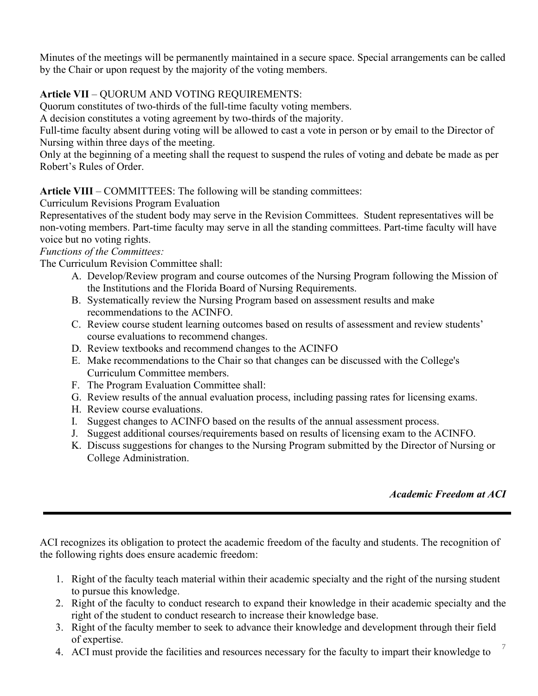Minutes of the meetings will be permanently maintained in a secure space. Special arrangements can be called by the Chair or upon request by the majority of the voting members.

# **Article VII** – QUORUM AND VOTING REQUIREMENTS:

Quorum constitutes of two-thirds of the full-time faculty voting members.

A decision constitutes a voting agreement by two-thirds of the majority.

Full-time faculty absent during voting will be allowed to cast a vote in person or by email to the Director of Nursing within three days of the meeting.

Only at the beginning of a meeting shall the request to suspend the rules of voting and debate be made as per Robert's Rules of Order.

**Article VIII** – COMMITTEES: The following will be standing committees:

Curriculum Revisions Program Evaluation

Representatives of the student body may serve in the Revision Committees. Student representatives will be non-voting members. Part-time faculty may serve in all the standing committees. Part-time faculty will have voice but no voting rights.

*Functions of the Committees:* 

The Curriculum Revision Committee shall:

- A. Develop/Review program and course outcomes of the Nursing Program following the Mission of the Institutions and the Florida Board of Nursing Requirements.
- B. Systematically review the Nursing Program based on assessment results and make recommendations to the ACINFO.
- C. Review course student learning outcomes based on results of assessment and review students' course evaluations to recommend changes.
- D. Review textbooks and recommend changes to the ACINFO
- E. Make recommendations to the Chair so that changes can be discussed with the College's Curriculum Committee members.
- F. The Program Evaluation Committee shall:
- G. Review results of the annual evaluation process, including passing rates for licensing exams.
- H. Review course evaluations.
- I. Suggest changes to ACINFO based on the results of the annual assessment process.
- J. Suggest additional courses/requirements based on results of licensing exam to the ACINFO.
- K. Discuss suggestions for changes to the Nursing Program submitted by the Director of Nursing or College Administration.

## *Academic Freedom at ACI*

ACI recognizes its obligation to protect the academic freedom of the faculty and students. The recognition of the following rights does ensure academic freedom:

- 1. Right of the faculty teach material within their academic specialty and the right of the nursing student to pursue this knowledge.
- 2. Right of the faculty to conduct research to expand their knowledge in their academic specialty and the right of the student to conduct research to increase their knowledge base.
- 3. Right of the faculty member to seek to advance their knowledge and development through their field of expertise.
- 4. ACI must provide the facilities and resources necessary for the faculty to impart their knowledge to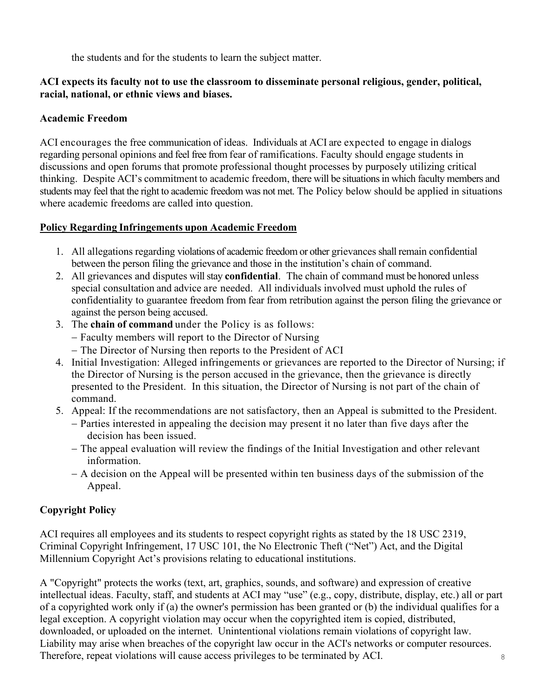the students and for the students to learn the subject matter.

### **ACI expects its faculty not to use the classroom to disseminate personal religious, gender, political, racial, national, or ethnic views and biases.**

### **Academic Freedom**

ACI encourages the free communication of ideas. Individuals at ACI are expected to engage in dialogs regarding personal opinions and feel free from fear of ramifications. Faculty should engage students in discussions and open forums that promote professional thought processes by purposely utilizing critical thinking. Despite ACI's commitment to academic freedom, there will be situationsin which faculty members and students may feel that the right to academic freedom was not met. The Policy below should be applied in situations where academic freedoms are called into question.

## **Policy Regarding Infringements upon Academic Freedom**

- 1. All allegations regarding violations of academic freedom or other grievances shall remain confidential between the person filing the grievance and those in the institution's chain of command.
- 2. All grievances and disputes will stay **confidential**. The chain of command must be honored unless special consultation and advice are needed. All individuals involved must uphold the rules of confidentiality to guarantee freedom from fear from retribution against the person filing the grievance or against the person being accused.
- 3. The **chain of command** under the Policy is as follows:
	- − Faculty members will report to the Director of Nursing
	- − The Director of Nursing then reports to the President of ACI
- 4. Initial Investigation: Alleged infringements or grievances are reported to the Director of Nursing; if the Director of Nursing is the person accused in the grievance, then the grievance is directly presented to the President. In this situation, the Director of Nursing is not part of the chain of command.
- 5. Appeal: If the recommendations are not satisfactory, then an Appeal is submitted to the President.
	- − Parties interested in appealing the decision may present it no later than five days after the decision has been issued.
	- − The appeal evaluation will review the findings of the Initial Investigation and other relevant information.
	- − A decision on the Appeal will be presented within ten business days of the submission of the Appeal.

# **Copyright Policy**

ACI requires all employees and its students to respect copyright rights as stated by the 18 USC 2319, Criminal Copyright Infringement, 17 USC 101, the No Electronic Theft ("Net") Act, and the Digital Millennium Copyright Act's provisions relating to educational institutions.

8 A "Copyright" protects the works (text, art, graphics, sounds, and software) and expression of creative intellectual ideas. Faculty, staff, and students at ACI may "use" (e.g., copy, distribute, display, etc.) all or part of a copyrighted work only if (a) the owner's permission has been granted or (b) the individual qualifies for a legal exception. A copyright violation may occur when the copyrighted item is copied, distributed, downloaded, or uploaded on the internet. Unintentional violations remain violations of copyright law. Liability may arise when breaches of the copyright law occur in the ACI's networks or computer resources. Therefore, repeat violations will cause access privileges to be terminated by ACI.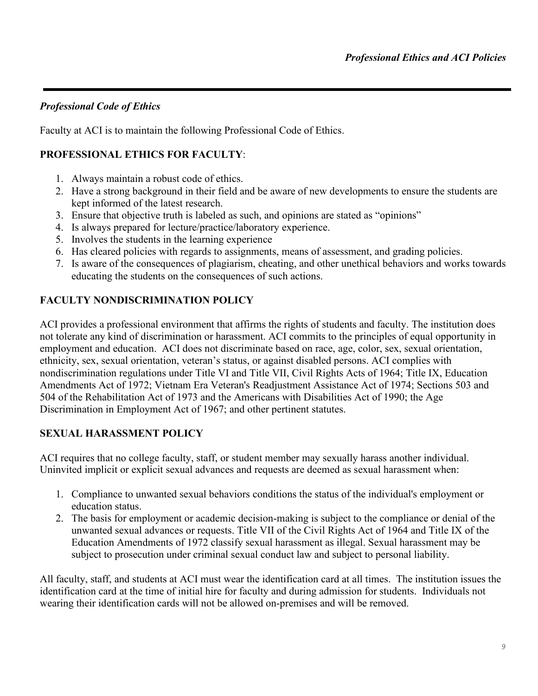## *Professional Code of Ethics*

Faculty at ACI is to maintain the following Professional Code of Ethics.

# **PROFESSIONAL ETHICS FOR FACULTY**:

- 1. Always maintain a robust code of ethics.
- 2. Have a strong background in their field and be aware of new developments to ensure the students are kept informed of the latest research.
- 3. Ensure that objective truth is labeled as such, and opinions are stated as "opinions"
- 4. Is always prepared for lecture/practice/laboratory experience.
- 5. Involves the students in the learning experience
- 6. Has cleared policies with regards to assignments, means of assessment, and grading policies.
- 7. Is aware of the consequences of plagiarism, cheating, and other unethical behaviors and works towards educating the students on the consequences of such actions.

# **FACULTY NONDISCRIMINATION POLICY**

ACI provides a professional environment that affirms the rights of students and faculty. The institution does not tolerate any kind of discrimination or harassment. ACI commits to the principles of equal opportunity in employment and education. ACI does not discriminate based on race, age, color, sex, sexual orientation, ethnicity, sex, sexual orientation, veteran's status, or against disabled persons. ACI complies with nondiscrimination regulations under Title VI and Title VII, Civil Rights Acts of 1964; Title IX, Education Amendments Act of 1972; Vietnam Era Veteran's Readjustment Assistance Act of 1974; Sections 503 and 504 of the Rehabilitation Act of 1973 and the Americans with Disabilities Act of 1990; the Age Discrimination in Employment Act of 1967; and other pertinent statutes.

## **SEXUAL HARASSMENT POLICY**

ACI requires that no college faculty, staff, or student member may sexually harass another individual. Uninvited implicit or explicit sexual advances and requests are deemed as sexual harassment when:

- 1. Compliance to unwanted sexual behaviors conditions the status of the individual's employment or education status.
- 2. The basis for employment or academic decision-making is subject to the compliance or denial of the unwanted sexual advances or requests. Title VII of the Civil Rights Act of 1964 and Title IX of the Education Amendments of 1972 classify sexual harassment as illegal. Sexual harassment may be subject to prosecution under criminal sexual conduct law and subject to personal liability.

All faculty, staff, and students at ACI must wear the identification card at all times. The institution issues the identification card at the time of initial hire for faculty and during admission for students. Individuals not wearing their identification cards will not be allowed on-premises and will be removed.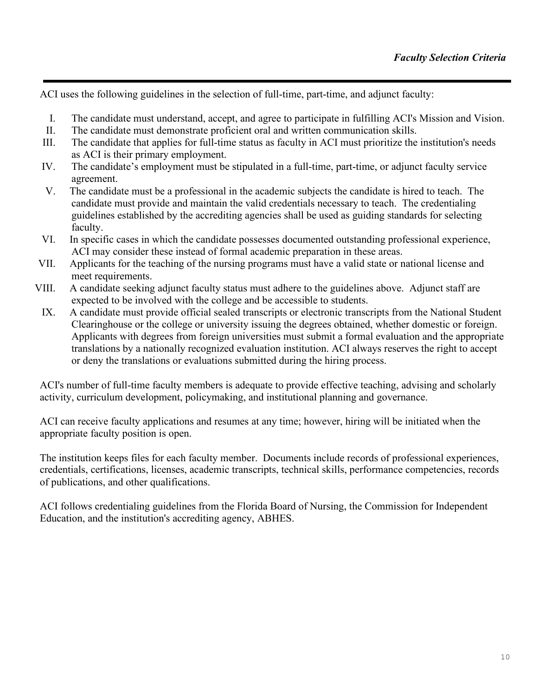ACI uses the following guidelines in the selection of full-time, part-time, and adjunct faculty:

- I. The candidate must understand, accept, and agree to participate in fulfilling ACI's Mission and Vision.
- II. The candidate must demonstrate proficient oral and written communication skills.
- III. The candidate that applies for full-time status as faculty in ACI must prioritize the institution's needs as ACI is their primary employment.
- IV. The candidate's employment must be stipulated in a full-time, part-time, or adjunct faculty service agreement.
- V. The candidate must be a professional in the academic subjects the candidate is hired to teach. The candidate must provide and maintain the valid credentials necessary to teach. The credentialing guidelines established by the accrediting agencies shall be used as guiding standards for selecting faculty.
- VI. In specific cases in which the candidate possesses documented outstanding professional experience, ACI may consider these instead of formal academic preparation in these areas.
- VII. Applicants for the teaching of the nursing programs must have a valid state or national license and meet requirements.
- VIII. A candidate seeking adjunct faculty status must adhere to the guidelines above. Adjunct staff are expected to be involved with the college and be accessible to students.
	- IX. A candidate must provide official sealed transcripts or electronic transcripts from the National Student Clearinghouse or the college or university issuing the degrees obtained, whether domestic or foreign. Applicants with degrees from foreign universities must submit a formal evaluation and the appropriate translations by a nationally recognized evaluation institution. ACI always reserves the right to accept or deny the translations or evaluations submitted during the hiring process.

ACI's number of full-time faculty members is adequate to provide effective teaching, advising and scholarly activity, curriculum development, policymaking, and institutional planning and governance.

ACI can receive faculty applications and resumes at any time; however, hiring will be initiated when the appropriate faculty position is open.

The institution keeps files for each faculty member. Documents include records of professional experiences, credentials, certifications, licenses, academic transcripts, technical skills, performance competencies, records of publications, and other qualifications.

ACI follows credentialing guidelines from the Florida Board of Nursing, the Commission for Independent Education, and the institution's accrediting agency, ABHES.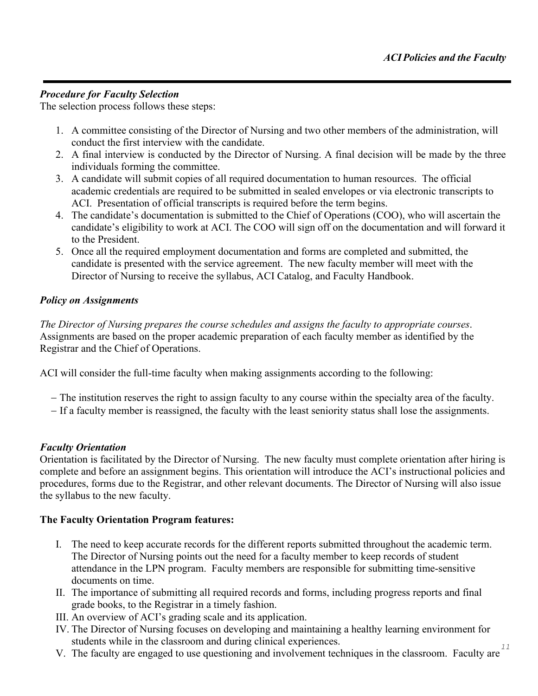### *Procedure for Faculty Selection*

The selection process follows these steps:

- 1. A committee consisting of the Director of Nursing and two other members of the administration, will conduct the first interview with the candidate.
- 2. A final interview is conducted by the Director of Nursing. A final decision will be made by the three individuals forming the committee.
- 3. A candidate will submit copies of all required documentation to human resources. The official academic credentials are required to be submitted in sealed envelopes or via electronic transcripts to ACI. Presentation of official transcripts is required before the term begins.
- 4. The candidate's documentation is submitted to the Chief of Operations (COO), who will ascertain the candidate's eligibility to work at ACI. The COO will sign off on the documentation and will forward it to the President.
- 5. Once all the required employment documentation and forms are completed and submitted, the candidate is presented with the service agreement. The new faculty member will meet with the Director of Nursing to receive the syllabus, ACI Catalog, and Faculty Handbook.

### *Policy on Assignments*

*The Director of Nursing prepares the course schedules and assigns the faculty to appropriate courses*. Assignments are based on the proper academic preparation of each faculty member as identified by the Registrar and the Chief of Operations.

ACI will consider the full-time faculty when making assignments according to the following:

- − The institution reserves the right to assign faculty to any course within the specialty area of the faculty.
- − If a faculty member is reassigned, the faculty with the least seniority status shall lose the assignments.

### *Faculty Orientation*

Orientation is facilitated by the Director of Nursing. The new faculty must complete orientation after hiring is complete and before an assignment begins. This orientation will introduce the ACI's instructional policies and procedures, forms due to the Registrar, and other relevant documents. The Director of Nursing will also issue the syllabus to the new faculty.

### **The Faculty Orientation Program features:**

- I. The need to keep accurate records for the different reports submitted throughout the academic term. The Director of Nursing points out the need for a faculty member to keep records of student attendance in the LPN program. Faculty members are responsible for submitting time-sensitive documents on time.
- II. The importance of submitting all required records and forms, including progress reports and final grade books, to the Registrar in a timely fashion.
- III. An overview of ACI's grading scale and its application.
- IV. The Director of Nursing focuses on developing and maintaining a healthy learning environment for students while in the classroom and during clinical experiences.
- V. The faculty are engaged to use questioning and involvement techniques in the classroom. Faculty are <sup>11</sup>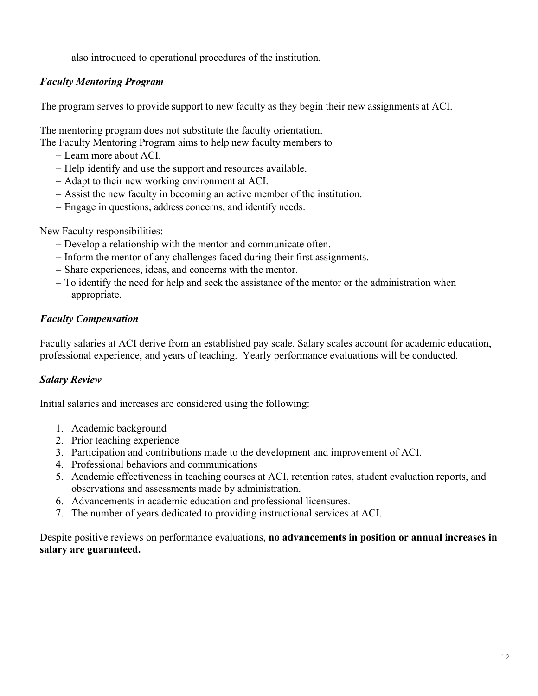also introduced to operational procedures of the institution.

## *Faculty Mentoring Program*

The program serves to provide support to new faculty as they begin their new assignments at ACI.

The mentoring program does not substitute the faculty orientation.

- The Faculty Mentoring Program aims to help new faculty members to
	- − Learn more about ACI.
	- − Help identify and use the support and resources available.
	- − Adapt to their new working environment at ACI.
	- − Assist the new faculty in becoming an active member of the institution.
	- − Engage in questions, address concerns, and identify needs.

New Faculty responsibilities:

- − Develop a relationship with the mentor and communicate often.
- − Inform the mentor of any challenges faced during their first assignments.
- − Share experiences, ideas, and concerns with the mentor.
- − To identify the need for help and seek the assistance of the mentor or the administration when appropriate.

## *Faculty Compensation*

Faculty salaries at ACI derive from an established pay scale. Salary scales account for academic education, professional experience, and years of teaching. Yearly performance evaluations will be conducted.

## *Salary Review*

Initial salaries and increases are considered using the following:

- 1. Academic background
- 2. Prior teaching experience
- 3. Participation and contributions made to the development and improvement of ACI.
- 4. Professional behaviors and communications
- 5. Academic effectiveness in teaching courses at ACI, retention rates, student evaluation reports, and observations and assessments made by administration.
- 6. Advancements in academic education and professional licensures.
- 7. The number of years dedicated to providing instructional services at ACI.

Despite positive reviews on performance evaluations, **no advancements in position or annual increases in salary are guaranteed.**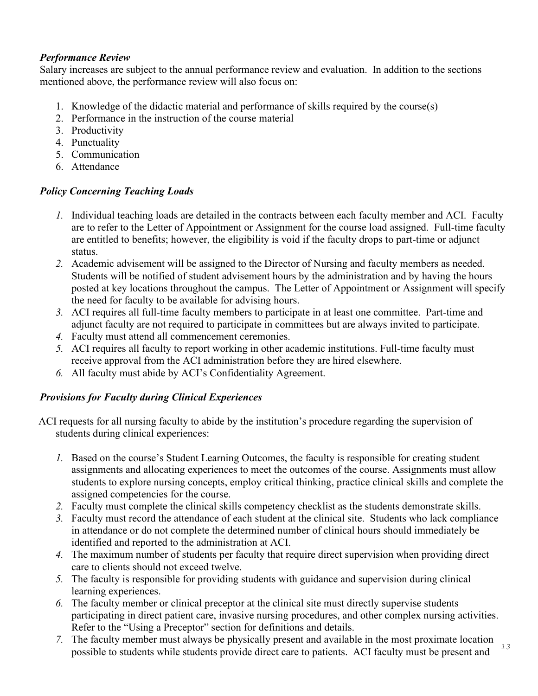## *Performance Review*

Salary increases are subject to the annual performance review and evaluation. In addition to the sections mentioned above, the performance review will also focus on:

- 1. Knowledge of the didactic material and performance of skills required by the course(s)
- 2. Performance in the instruction of the course material
- 3. Productivity
- 4. Punctuality
- 5. Communication
- 6. Attendance

## *Policy Concerning Teaching Loads*

- *1.* Individual teaching loads are detailed in the contracts between each faculty member and ACI. Faculty are to refer to the Letter of Appointment or Assignment for the course load assigned. Full-time faculty are entitled to benefits; however, the eligibility is void if the faculty drops to part-time or adjunct status.
- *2.* Academic advisement will be assigned to the Director of Nursing and faculty members as needed. Students will be notified of student advisement hours by the administration and by having the hours posted at key locations throughout the campus. The Letter of Appointment or Assignment will specify the need for faculty to be available for advising hours.
- *3.* ACI requires all full-time faculty members to participate in at least one committee. Part-time and adjunct faculty are not required to participate in committees but are always invited to participate.
- *4.* Faculty must attend all commencement ceremonies.
- *5.* ACI requires all faculty to report working in other academic institutions. Full-time faculty must receive approval from the ACI administration before they are hired elsewhere.
- *6.* All faculty must abide by ACI's Confidentiality Agreement.

## *Provisions for Faculty during Clinical Experiences*

ACI requests for all nursing faculty to abide by the institution's procedure regarding the supervision of students during clinical experiences:

- *1.* Based on the course's Student Learning Outcomes, the faculty is responsible for creating student assignments and allocating experiences to meet the outcomes of the course. Assignments must allow students to explore nursing concepts, employ critical thinking, practice clinical skills and complete the assigned competencies for the course.
- *2.* Faculty must complete the clinical skills competency checklist as the students demonstrate skills.
- *3.* Faculty must record the attendance of each student at the clinical site. Students who lack compliance in attendance or do not complete the determined number of clinical hours should immediately be identified and reported to the administration at ACI.
- *4.* The maximum number of students per faculty that require direct supervision when providing direct care to clients should not exceed twelve.
- *5.* The faculty is responsible for providing students with guidance and supervision during clinical learning experiences.
- *6.* The faculty member or clinical preceptor at the clinical site must directly supervise students participating in direct patient care, invasive nursing procedures, and other complex nursing activities. Refer to the "Using a Preceptor" section for definitions and details.
- *7.* The faculty member must always be physically present and available in the most proximate location possible to students while students provide direct care to patients. ACI faculty must be present and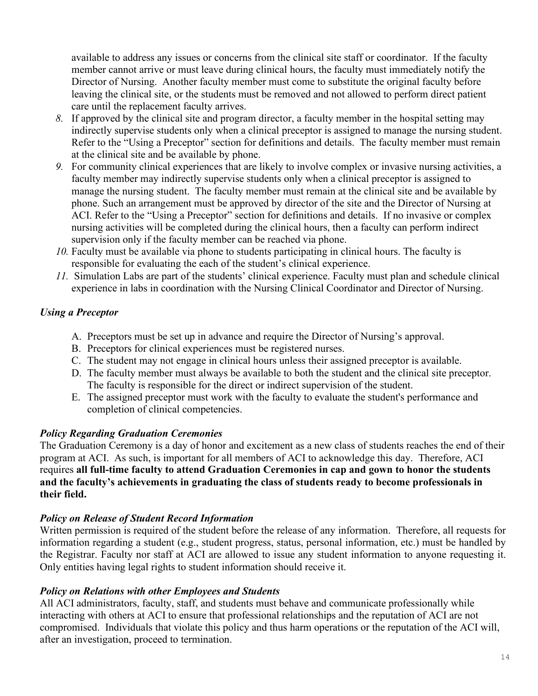available to address any issues or concerns from the clinical site staff or coordinator. If the faculty member cannot arrive or must leave during clinical hours, the faculty must immediately notify the Director of Nursing. Another faculty member must come to substitute the original faculty before leaving the clinical site, or the students must be removed and not allowed to perform direct patient care until the replacement faculty arrives.

- *8.* If approved by the clinical site and program director, a faculty member in the hospital setting may indirectly supervise students only when a clinical preceptor is assigned to manage the nursing student. Refer to the "Using a Preceptor" section for definitions and details. The faculty member must remain at the clinical site and be available by phone.
- *9.* For community clinical experiences that are likely to involve complex or invasive nursing activities, a faculty member may indirectly supervise students only when a clinical preceptor is assigned to manage the nursing student. The faculty member must remain at the clinical site and be available by phone. Such an arrangement must be approved by director of the site and the Director of Nursing at ACI. Refer to the "Using a Preceptor" section for definitions and details. If no invasive or complex nursing activities will be completed during the clinical hours, then a faculty can perform indirect supervision only if the faculty member can be reached via phone.
- *10.* Faculty must be available via phone to students participating in clinical hours. The faculty is responsible for evaluating the each of the student's clinical experience.
- *11.* Simulation Labs are part of the students' clinical experience. Faculty must plan and schedule clinical experience in labs in coordination with the Nursing Clinical Coordinator and Director of Nursing.

## *Using a Preceptor*

- A. Preceptors must be set up in advance and require the Director of Nursing's approval.
- B. Preceptors for clinical experiences must be registered nurses.
- C. The student may not engage in clinical hours unless their assigned preceptor is available.
- D. The faculty member must always be available to both the student and the clinical site preceptor. The faculty is responsible for the direct or indirect supervision of the student.
- E. The assigned preceptor must work with the faculty to evaluate the student's performance and completion of clinical competencies.

### *Policy Regarding Graduation Ceremonies*

The Graduation Ceremony is a day of honor and excitement as a new class of students reaches the end of their program at ACI. As such, is important for all members of ACI to acknowledge this day. Therefore, ACI requires **all full-time faculty to attend Graduation Ceremonies in cap and gown to honor the students and the faculty's achievements in graduating the class of students ready to become professionals in their field.**

## *Policy on Release of Student Record Information*

Written permission is required of the student before the release of any information. Therefore, all requests for information regarding a student (e.g., student progress, status, personal information, etc.) must be handled by the Registrar. Faculty nor staff at ACI are allowed to issue any student information to anyone requesting it. Only entities having legal rights to student information should receive it.

### *Policy on Relations with other Employees and Students*

All ACI administrators, faculty, staff, and students must behave and communicate professionally while interacting with others at ACI to ensure that professional relationships and the reputation of ACI are not compromised. Individuals that violate this policy and thus harm operations or the reputation of the ACI will, after an investigation, proceed to termination.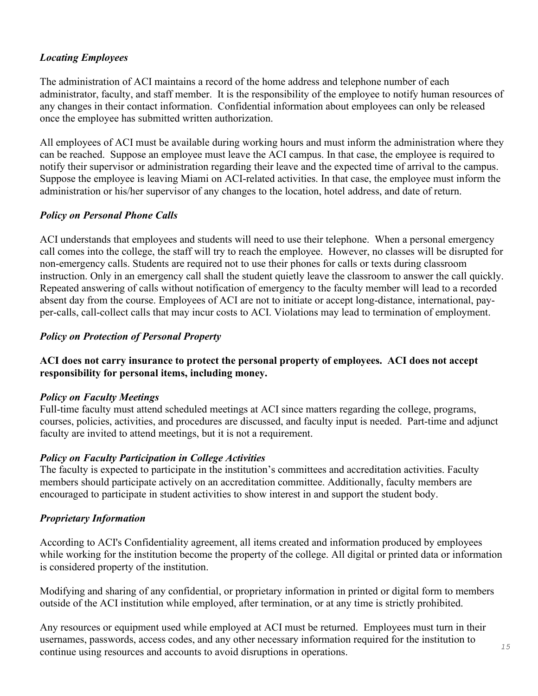### *Locating Employees*

The administration of ACI maintains a record of the home address and telephone number of each administrator, faculty, and staff member. It is the responsibility of the employee to notify human resources of any changes in their contact information. Confidential information about employees can only be released once the employee has submitted written authorization.

All employees of ACI must be available during working hours and must inform the administration where they can be reached. Suppose an employee must leave the ACI campus. In that case, the employee is required to notify their supervisor or administration regarding their leave and the expected time of arrival to the campus. Suppose the employee is leaving Miami on ACI-related activities. In that case, the employee must inform the administration or his/her supervisor of any changes to the location, hotel address, and date of return.

### *Policy on Personal Phone Calls*

ACI understands that employees and students will need to use their telephone. When a personal emergency call comes into the college, the staff will try to reach the employee. However, no classes will be disrupted for non-emergency calls. Students are required not to use their phones for calls or texts during classroom instruction. Only in an emergency call shall the student quietly leave the classroom to answer the call quickly. Repeated answering of calls without notification of emergency to the faculty member will lead to a recorded absent day from the course. Employees of ACI are not to initiate or accept long-distance, international, payper-calls, call-collect calls that may incur costs to ACI. Violations may lead to termination of employment.

## *Policy on Protection of Personal Property*

### **ACI does not carry insurance to protect the personal property of employees. ACI does not accept responsibility for personal items, including money.**

### *Policy on Faculty Meetings*

Full-time faculty must attend scheduled meetings at ACI since matters regarding the college, programs, courses, policies, activities, and procedures are discussed, and faculty input is needed. Part-time and adjunct faculty are invited to attend meetings, but it is not a requirement.

### *Policy on Faculty Participation in College Activities*

The faculty is expected to participate in the institution's committees and accreditation activities. Faculty members should participate actively on an accreditation committee. Additionally, faculty members are encouraged to participate in student activities to show interest in and support the student body.

### *Proprietary Information*

According to ACI's Confidentiality agreement, all items created and information produced by employees while working for the institution become the property of the college. All digital or printed data or information is considered property of the institution.

Modifying and sharing of any confidential, or proprietary information in printed or digital form to members outside of the ACI institution while employed, after termination, or at any time is strictly prohibited.

Any resources or equipment used while employed at ACI must be returned. Employees must turn in their usernames, passwords, access codes, and any other necessary information required for the institution to continue using resources and accounts to avoid disruptions in operations.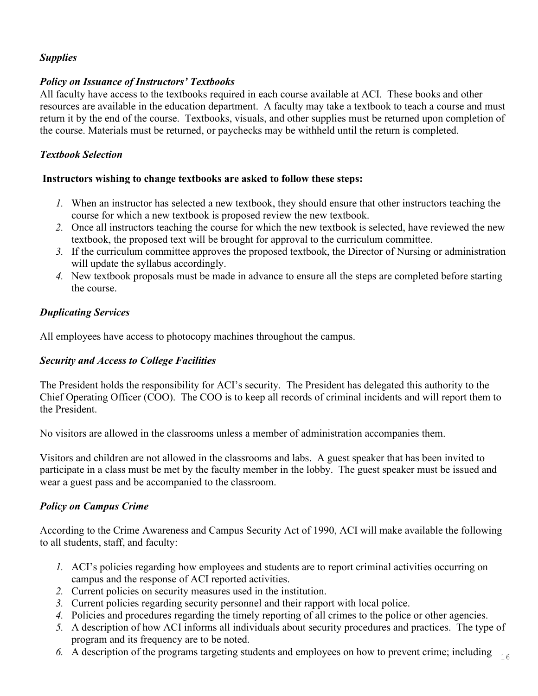# *Supplies*

### *Policy on Issuance of Instructors' Textbooks*

All faculty have access to the textbooks required in each course available at ACI. These books and other resources are available in the education department. A faculty may take a textbook to teach a course and must return it by the end of the course. Textbooks, visuals, and other supplies must be returned upon completion of the course. Materials must be returned, or paychecks may be withheld until the return is completed.

### *Textbook Selection*

#### **Instructors wishing to change textbooks are asked to follow these steps:**

- *1.* When an instructor has selected a new textbook, they should ensure that other instructors teaching the course for which a new textbook is proposed review the new textbook.
- *2.* Once all instructors teaching the course for which the new textbook is selected, have reviewed the new textbook, the proposed text will be brought for approval to the curriculum committee.
- *3.* If the curriculum committee approves the proposed textbook, the Director of Nursing or administration will update the syllabus accordingly.
- *4.* New textbook proposals must be made in advance to ensure all the steps are completed before starting the course.

### *Duplicating Services*

All employees have access to photocopy machines throughout the campus.

### *Security and Access to College Facilities*

The President holds the responsibility for ACI's security. The President has delegated this authority to the Chief Operating Officer (COO). The COO is to keep all records of criminal incidents and will report them to the President.

No visitors are allowed in the classrooms unless a member of administration accompanies them.

Visitors and children are not allowed in the classrooms and labs. A guest speaker that has been invited to participate in a class must be met by the faculty member in the lobby. The guest speaker must be issued and wear a guest pass and be accompanied to the classroom.

## *Policy on Campus Crime*

According to the Crime Awareness and Campus Security Act of 1990, ACI will make available the following to all students, staff, and faculty:

- *1.* ACI's policies regarding how employees and students are to report criminal activities occurring on campus and the response of ACI reported activities.
- *2.* Current policies on security measures used in the institution.
- *3.* Current policies regarding security personnel and their rapport with local police.
- *4.* Policies and procedures regarding the timely reporting of all crimes to the police or other agencies.
- *5.* A description of how ACI informs all individuals about security procedures and practices. The type of program and its frequency are to be noted.
- *6.* A description of the programs targeting students and employees on how to prevent crime; including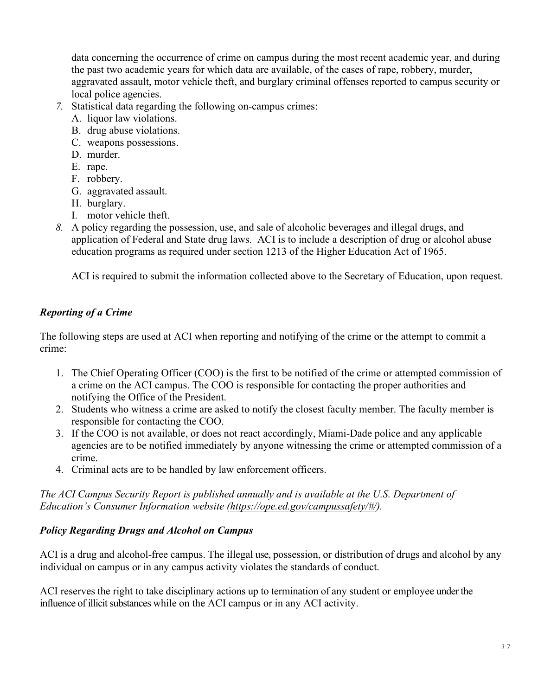data concerning the occurrence of crime on campus during the most recent academic year, and during the past two academic years for which data are available, of the cases of rape, robbery, murder, aggravated assault, motor vehicle theft, and burglary criminal offenses reported to campus security or local police agencies.

- *7.* Statistical data regarding the following on-campus crimes:
	- A. liquor law violations.
	- B. drug abuse violations.
	- C. weapons possessions.
	- D. murder.
	- E. rape.
	- F. robbery.
	- G. aggravated assault.
	- H. burglary.
	- I. motor vehicle theft.
- *8.* A policy regarding the possession, use, and sale of alcoholic beverages and illegal drugs, and application of Federal and State drug laws. ACI is to include a description of drug or alcohol abuse education programs as required under section 1213 of the Higher Education Act of 1965.

ACI is required to submit the information collected above to the Secretary of Education, upon request.

# *Reporting of a Crime*

The following steps are used at ACI when reporting and notifying of the crime or the attempt to commit a crime:

- 1. The Chief Operating Officer (COO) is the first to be notified of the crime or attempted commission of a crime on the ACI campus. The COO is responsible for contacting the proper authorities and notifying the Office of the President.
- 2. Students who witness a crime are asked to notify the closest faculty member. The faculty member is responsible for contacting the COO.
- 3. If the COO is not available, or does not react accordingly, Miami-Dade police and any applicable agencies are to be notified immediately by anyone witnessing the crime or attempted commission of a crime.
- 4. Criminal acts are to be handled by law enforcement officers.

*The ACI Campus Security Report is published annually and is available at the U.S. Department of Education's Consumer Information website [\(https://ope.ed.gov/campussafety/#/\)](https://ope.ed.gov/campussafety/#/).*

## *Policy Regarding Drugs and Alcohol on Campus*

ACI is a drug and alcohol-free campus. The illegal use, possession, or distribution of drugs and alcohol by any individual on campus or in any campus activity violates the standards of conduct.

ACI reserves the right to take disciplinary actions up to termination of any student or employee under the influence of illicit substances while on the ACI campus or in any ACI activity.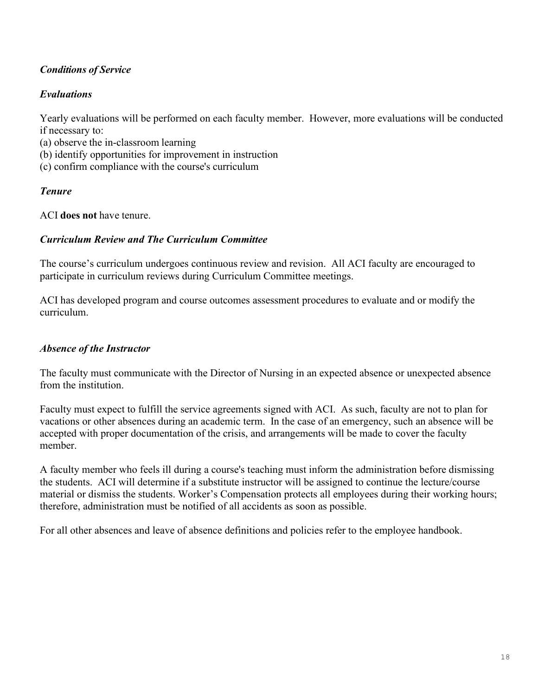## *Conditions of Service*

### *Evaluations*

Yearly evaluations will be performed on each faculty member. However, more evaluations will be conducted if necessary to:

- (a) observe the in-classroom learning
- (b) identify opportunities for improvement in instruction
- (c) confirm compliance with the course's curriculum

### *Tenure*

ACI **does not** have tenure.

### *Curriculum Review and The Curriculum Committee*

The course's curriculum undergoes continuous review and revision. All ACI faculty are encouraged to participate in curriculum reviews during Curriculum Committee meetings.

ACI has developed program and course outcomes assessment procedures to evaluate and or modify the curriculum.

### *Absence of the Instructor*

The faculty must communicate with the Director of Nursing in an expected absence or unexpected absence from the institution.

Faculty must expect to fulfill the service agreements signed with ACI. As such, faculty are not to plan for vacations or other absences during an academic term. In the case of an emergency, such an absence will be accepted with proper documentation of the crisis, and arrangements will be made to cover the faculty member.

A faculty member who feels ill during a course's teaching must inform the administration before dismissing the students. ACI will determine if a substitute instructor will be assigned to continue the lecture/course material or dismiss the students. Worker's Compensation protects all employees during their working hours; therefore, administration must be notified of all accidents as soon as possible.

For all other absences and leave of absence definitions and policies refer to the employee handbook.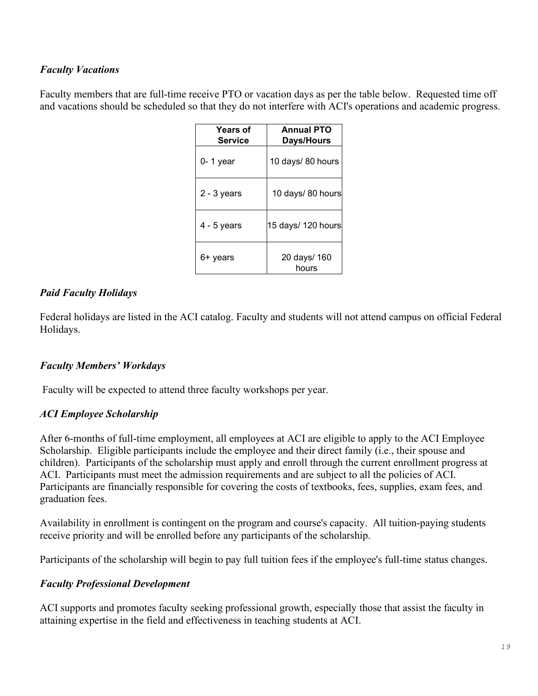### *Faculty Vacations*

Faculty members that are full-time receive PTO or vacation days as per the table below. Requested time off and vacations should be scheduled so that they do not interfere with ACI's operations and academic progress.

| <b>Years of</b><br><b>Service</b> | <b>Annual PTO</b><br>Days/Hours |
|-----------------------------------|---------------------------------|
| $0 - 1$ year                      | 10 days/ 80 hours               |
| $2 - 3$ years                     | 10 days/ 80 hours               |
| $4 - 5$ years                     | 15 days/ 120 hours              |
| 6+ years                          | 20 days/ 160<br>hours           |

### *Paid Faculty Holidays*

Federal holidays are listed in the ACI catalog. Faculty and students will not attend campus on official Federal Holidays.

## *Faculty Members' Workdays*

Faculty will be expected to attend three faculty workshops per year.

### *ACI Employee Scholarship*

After 6-months of full-time employment, all employees at ACI are eligible to apply to the ACI Employee Scholarship. Eligible participants include the employee and their direct family (i.e., their spouse and children). Participants of the scholarship must apply and enroll through the current enrollment progress at ACI. Participants must meet the admission requirements and are subject to all the policies of ACI. Participants are financially responsible for covering the costs of textbooks, fees, supplies, exam fees, and graduation fees.

Availability in enrollment is contingent on the program and course's capacity. All tuition-paying students receive priority and will be enrolled before any participants of the scholarship.

Participants of the scholarship will begin to pay full tuition fees if the employee's full-time status changes.

### *Faculty Professional Development*

ACI supports and promotes faculty seeking professional growth, especially those that assist the faculty in attaining expertise in the field and effectiveness in teaching students at ACI.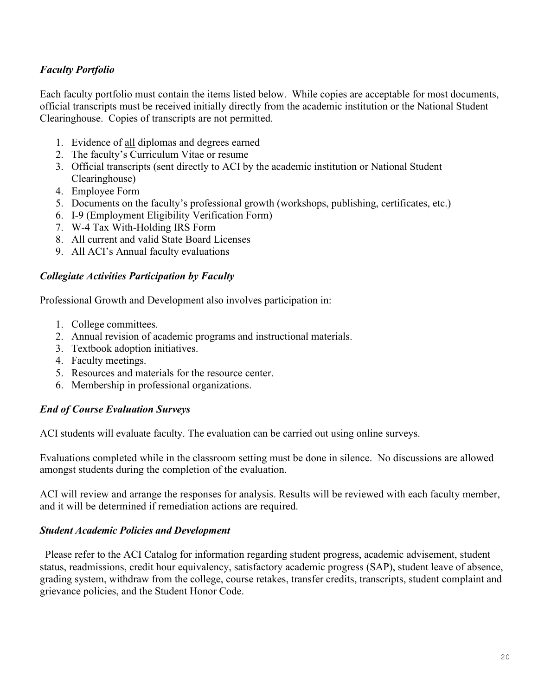## *Faculty Portfolio*

Each faculty portfolio must contain the items listed below. While copies are acceptable for most documents, official transcripts must be received initially directly from the academic institution or the National Student Clearinghouse. Copies of transcripts are not permitted.

- 1. Evidence of all diplomas and degrees earned
- 2. The faculty's Curriculum Vitae or resume
- 3. Official transcripts (sent directly to ACI by the academic institution or National Student Clearinghouse)
- 4. Employee Form
- 5. Documents on the faculty's professional growth (workshops, publishing, certificates, etc.)
- 6. I-9 (Employment Eligibility Verification Form)
- 7. W-4 Tax With-Holding IRS Form
- 8. All current and valid State Board Licenses
- 9. All ACI's Annual faculty evaluations

#### *Collegiate Activities Participation by Faculty*

Professional Growth and Development also involves participation in:

- 1. College committees.
- 2. Annual revision of academic programs and instructional materials.
- 3. Textbook adoption initiatives.
- 4. Faculty meetings.
- 5. Resources and materials for the resource center.
- 6. Membership in professional organizations.

### *End of Course Evaluation Surveys*

ACI students will evaluate faculty. The evaluation can be carried out using online surveys.

Evaluations completed while in the classroom setting must be done in silence. No discussions are allowed amongst students during the completion of the evaluation.

ACI will review and arrange the responses for analysis. Results will be reviewed with each faculty member, and it will be determined if remediation actions are required.

#### *Student Academic Policies and Development*

 Please refer to the ACI Catalog for information regarding student progress, academic advisement, student status, readmissions, credit hour equivalency, satisfactory academic progress (SAP), student leave of absence, grading system, withdraw from the college, course retakes, transfer credits, transcripts, student complaint and grievance policies, and the Student Honor Code.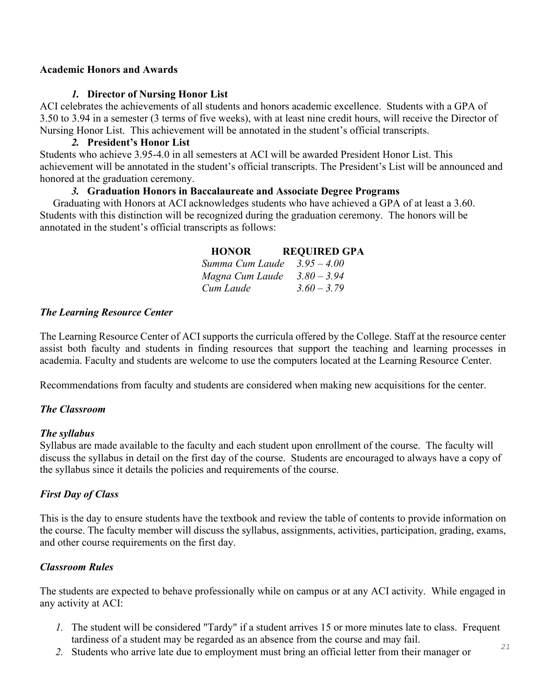#### **Academic Honors and Awards**

#### *1.* **Director of Nursing Honor List**

ACI celebrates the achievements of all students and honors academic excellence. Students with a GPA of 3.50 to 3.94 in a semester (3 terms of five weeks), with at least nine credit hours, will receive the Director of Nursing Honor List. This achievement will be annotated in the student's official transcripts.

#### *2.* **President's Honor List**

Students who achieve 3.95-4.0 in all semesters at ACI will be awarded President Honor List. This achievement will be annotated in the student's official transcripts. The President's List will be announced and honored at the graduation ceremony.

### *3.* **Graduation Honors in Baccalaureate and Associate Degree Programs**

 Graduating with Honors at ACI acknowledges students who have achieved a GPA of at least a 3.60. Students with this distinction will be recognized during the graduation ceremony. The honors will be annotated in the student's official transcripts as follows:

| <b>HONOR</b>    | <b>REQUIRED GPA</b> |
|-----------------|---------------------|
| Summa Cum Laude | $3.95 - 4.00$       |
| Magna Cum Laude | $3.80 - 3.94$       |
| Cum Laude       | $3.60 - 3.79$       |

#### *The Learning Resource Center*

The Learning Resource Center of ACI supports the curricula offered by the College. Staff at the resource center assist both faculty and students in finding resources that support the teaching and learning processes in academia. Faculty and students are welcome to use the computers located at the Learning Resource Center.

Recommendations from faculty and students are considered when making new acquisitions for the center.

### *The Classroom*

#### *The syllabus*

Syllabus are made available to the faculty and each student upon enrollment of the course. The faculty will discuss the syllabus in detail on the first day of the course. Students are encouraged to always have a copy of the syllabus since it details the policies and requirements of the course.

### *First Day of Class*

This is the day to ensure students have the textbook and review the table of contents to provide information on the course. The faculty member will discuss the syllabus, assignments, activities, participation, grading, exams, and other course requirements on the first day.

### *Classroom Rules*

The students are expected to behave professionally while on campus or at any ACI activity. While engaged in any activity at ACI:

- *1.* The student will be considered "Tardy" if a student arrives 15 or more minutes late to class. Frequent tardiness of a student may be regarded as an absence from the course and may fail.
- *2.* Students who arrive late due to employment must bring an official letter from their manager or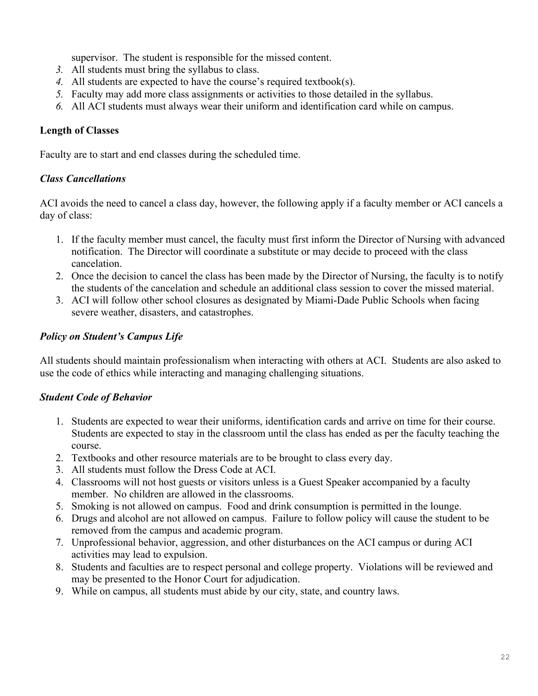supervisor. The student is responsible for the missed content.

- *3.* All students must bring the syllabus to class.
- *4.* All students are expected to have the course's required textbook(s).
- *5.* Faculty may add more class assignments or activities to those detailed in the syllabus.
- *6.* All ACI students must always wear their uniform and identification card while on campus.

#### **Length of Classes**

Faculty are to start and end classes during the scheduled time.

#### *Class Cancellations*

ACI avoids the need to cancel a class day, however, the following apply if a faculty member or ACI cancels a day of class:

- 1. If the faculty member must cancel, the faculty must first inform the Director of Nursing with advanced notification. The Director will coordinate a substitute or may decide to proceed with the class cancelation.
- 2. Once the decision to cancel the class has been made by the Director of Nursing, the faculty is to notify the students of the cancelation and schedule an additional class session to cover the missed material.
- 3. ACI will follow other school closures as designated by Miami-Dade Public Schools when facing severe weather, disasters, and catastrophes.

### *Policy on Student's Campus Life*

All students should maintain professionalism when interacting with others at ACI. Students are also asked to use the code of ethics while interacting and managing challenging situations.

### *Student Code of Behavior*

- 1. Students are expected to wear their uniforms, identification cards and arrive on time for their course. Students are expected to stay in the classroom until the class has ended as per the faculty teaching the course.
- 2. Textbooks and other resource materials are to be brought to class every day.
- 3. All students must follow the Dress Code at ACI.
- 4. Classrooms will not host guests or visitors unless is a Guest Speaker accompanied by a faculty member. No children are allowed in the classrooms.
- 5. Smoking is not allowed on campus. Food and drink consumption is permitted in the lounge.
- 6. Drugs and alcohol are not allowed on campus. Failure to follow policy will cause the student to be removed from the campus and academic program.
- 7. Unprofessional behavior, aggression, and other disturbances on the ACI campus or during ACI activities may lead to expulsion.
- 8. Students and faculties are to respect personal and college property. Violations will be reviewed and may be presented to the Honor Court for adjudication.
- 9. While on campus, all students must abide by our city, state, and country laws.